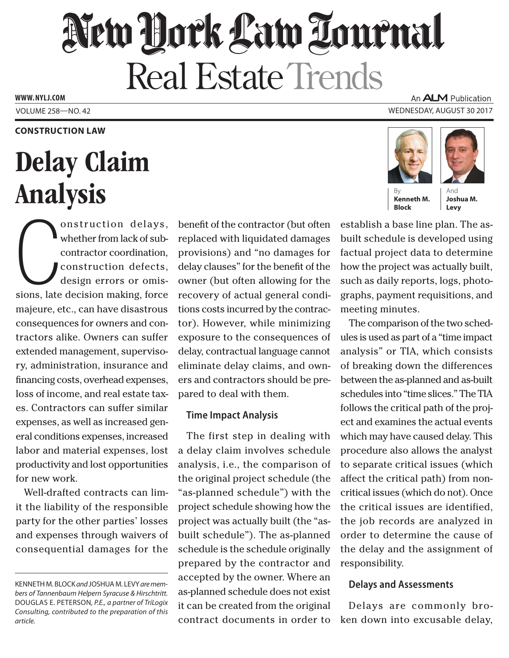# New Hork Law Lournal **Real Estate Trends**

**www. NYLJ.com**

### An **ALM** Publication Volume 258—NO. 42 Wednesday, August 30 2017

### **Construction Law**

# Delay Claim Analysis

Onstruction delays,<br>
whether from lack of sub-<br>
contractor coordination,<br>
construction defects,<br>
design errors or omis-<br>
sions, late decision making, force onstruction delays, whether from lack of subcontractor coordination, construction defects, design errors or omismajeure, etc., can have disastrous consequences for owners and contractors alike. Owners can suffer extended management, supervisory, administration, insurance and financing costs, overhead expenses, loss of income, and real estate taxes. Contractors can suffer similar expenses, as well as increased general conditions expenses, increased labor and material expenses, lost productivity and lost opportunities for new work.

Well-drafted contracts can limit the liability of the responsible party for the other parties' losses and expenses through waivers of consequential damages for the benefit of the contractor (but often replaced with liquidated damages provisions) and "no damages for delay clauses" for the benefit of the owner (but often allowing for the recovery of actual general conditions costs incurred by the contractor). However, while minimizing exposure to the consequences of delay, contractual language cannot eliminate delay claims, and owners and contractors should be prepared to deal with them.

## **Time Impact Analysis**

The first step in dealing with a delay claim involves schedule analysis, i.e., the comparison of the original project schedule (the "as-planned schedule") with the project schedule showing how the project was actually built (the "asbuilt schedule"). The as-planned schedule is the schedule originally prepared by the contractor and accepted by the owner. Where an as-planned schedule does not exist it can be created from the original contract documents in order to





By **Kenneth M. Block**

And **Joshua M. Levy**

establish a base line plan. The asbuilt schedule is developed using factual project data to determine how the project was actually built, such as daily reports, logs, photographs, payment requisitions, and meeting minutes.

The comparison of the two schedules is used as part of a "time impact analysis" or TIA, which consists of breaking down the differences between the as-planned and as-built schedules into "time slices." The TIA follows the critical path of the project and examines the actual events which may have caused delay. This procedure also allows the analyst to separate critical issues (which affect the critical path) from noncritical issues (which do not). Once the critical issues are identified, the job records are analyzed in order to determine the cause of the delay and the assignment of responsibility.

## **Delays and Assessments**

Delays are commonly broken down into excusable delay,

Kenneth M. Block *and* Joshua M. Levy *are members of Tannenbaum Helpern Syracuse & Hirschtritt.*  Douglas E. Peterson*, P.E., a partner of TriLogix Consulting, contributed to the preparation of this article.*